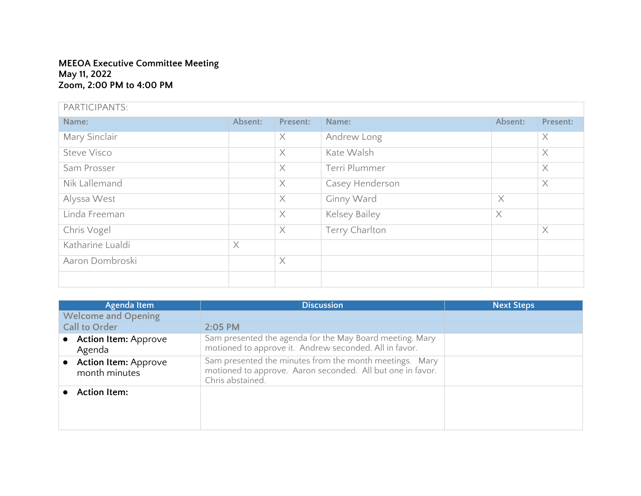## **MEEOA Executive Committee Meeting May 11, 2022 Zoom, 2:00 PM to 4:00 PM**

| PARTICIPANTS:      |          |          |                 |          |          |
|--------------------|----------|----------|-----------------|----------|----------|
| Name:              | Absent:  | Present: | Name:           | Absent:  | Present: |
| Mary Sinclair      |          | X        | Andrew Long     |          | $\times$ |
| <b>Steve Visco</b> |          | $\times$ | Kate Walsh      |          | $\times$ |
| Sam Prosser        |          | $\times$ | Terri Plummer   |          | $\times$ |
| Nik Lallemand      |          | $\times$ | Casey Henderson |          | $\times$ |
| Alyssa West        |          | $\times$ | Ginny Ward      | $\times$ |          |
| Linda Freeman      |          | $\times$ | Kelsey Bailey   | $\times$ |          |
| Chris Vogel        |          | $\times$ | Terry Charlton  |          | $\times$ |
| Katharine Lualdi   | $\times$ |          |                 |          |          |
| Aaron Dombroski    |          | $\times$ |                 |          |          |
|                    |          |          |                 |          |          |

| Agenda Item                                  | <b>Discussion</b>                                                                                                                         | <b>Next Steps</b> |
|----------------------------------------------|-------------------------------------------------------------------------------------------------------------------------------------------|-------------------|
| <b>Welcome and Opening</b>                   |                                                                                                                                           |                   |
| <b>Call to Order</b>                         | $2:05$ PM                                                                                                                                 |                   |
| <b>Action Item: Approve</b><br>Agenda        | Sam presented the agenda for the May Board meeting. Mary<br>motioned to approve it. Andrew seconded. All in favor.                        |                   |
| <b>Action Item: Approve</b><br>month minutes | Sam presented the minutes from the month meetings. Mary<br>motioned to approve. Aaron seconded. All but one in favor.<br>Chris abstained. |                   |
| <b>Action Item:</b>                          |                                                                                                                                           |                   |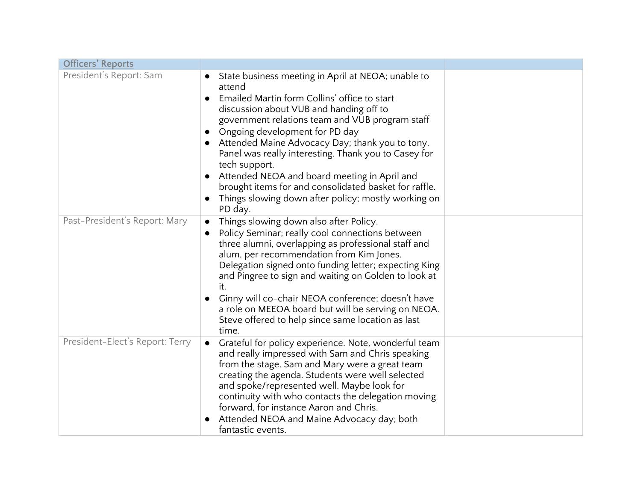| <b>Officers' Reports</b>        |                                                                                                                                                                                                                                                                                                                                                                                                                                                                                                                                                                               |  |
|---------------------------------|-------------------------------------------------------------------------------------------------------------------------------------------------------------------------------------------------------------------------------------------------------------------------------------------------------------------------------------------------------------------------------------------------------------------------------------------------------------------------------------------------------------------------------------------------------------------------------|--|
| President's Report: Sam         | State business meeting in April at NEOA; unable to<br>attend<br>Emailed Martin form Collins' office to start<br>discussion about VUB and handing off to<br>government relations team and VUB program staff<br>Ongoing development for PD day<br>$\bullet$<br>Attended Maine Advocacy Day; thank you to tony.<br>Panel was really interesting. Thank you to Casey for<br>tech support.<br>Attended NEOA and board meeting in April and<br>$\bullet$<br>brought items for and consolidated basket for raffle.<br>Things slowing down after policy; mostly working on<br>PD day. |  |
| Past-President's Report: Mary   | Things slowing down also after Policy.<br>Policy Seminar; really cool connections between<br>three alumni, overlapping as professional staff and<br>alum, per recommendation from Kim Jones.<br>Delegation signed onto funding letter; expecting King<br>and Pingree to sign and waiting on Golden to look at<br>it.<br>Ginny will co-chair NEOA conference; doesn't have<br>a role on MEEOA board but will be serving on NEOA.<br>Steve offered to help since same location as last<br>time.                                                                                 |  |
| President-Elect's Report: Terry | Grateful for policy experience. Note, wonderful team<br>and really impressed with Sam and Chris speaking<br>from the stage. Sam and Mary were a great team<br>creating the agenda. Students were well selected<br>and spoke/represented well. Maybe look for<br>continuity with who contacts the delegation moving<br>forward, for instance Aaron and Chris.<br>Attended NEOA and Maine Advocacy day; both<br>fantastic events.                                                                                                                                               |  |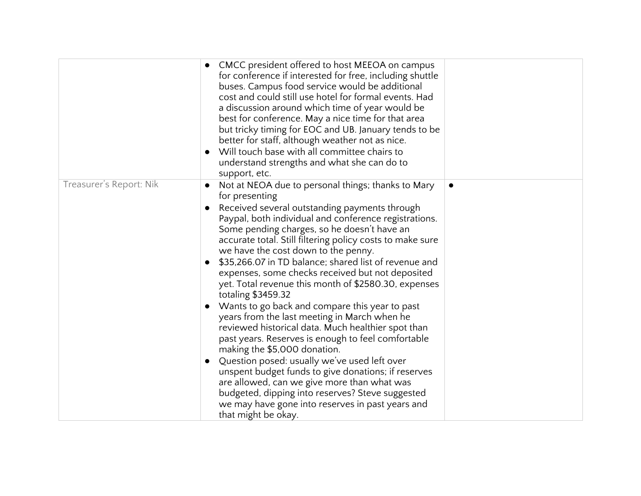|                         | CMCC president offered to host MEEOA on campus<br>for conference if interested for free, including shuttle<br>buses. Campus food service would be additional<br>cost and could still use hotel for formal events. Had<br>a discussion around which time of year would be<br>best for conference. May a nice time for that area<br>but tricky timing for EOC and UB. January tends to be<br>better for staff, although weather not as nice.<br>Will touch base with all committee chairs to<br>understand strengths and what she can do to<br>support, etc. |  |
|-------------------------|------------------------------------------------------------------------------------------------------------------------------------------------------------------------------------------------------------------------------------------------------------------------------------------------------------------------------------------------------------------------------------------------------------------------------------------------------------------------------------------------------------------------------------------------------------|--|
| Treasurer's Report: Nik | Not at NEOA due to personal things; thanks to Mary<br>for presenting                                                                                                                                                                                                                                                                                                                                                                                                                                                                                       |  |
|                         | Received several outstanding payments through<br>Paypal, both individual and conference registrations.<br>Some pending charges, so he doesn't have an<br>accurate total. Still filtering policy costs to make sure<br>we have the cost down to the penny.                                                                                                                                                                                                                                                                                                  |  |
|                         | \$35,266.07 in TD balance; shared list of revenue and<br>expenses, some checks received but not deposited<br>yet. Total revenue this month of \$2580.30, expenses<br>totaling \$3459.32                                                                                                                                                                                                                                                                                                                                                                    |  |
|                         | Wants to go back and compare this year to past<br>years from the last meeting in March when he<br>reviewed historical data. Much healthier spot than<br>past years. Reserves is enough to feel comfortable<br>making the \$5,000 donation.                                                                                                                                                                                                                                                                                                                 |  |
|                         | Question posed: usually we've used left over<br>unspent budget funds to give donations; if reserves<br>are allowed, can we give more than what was<br>budgeted, dipping into reserves? Steve suggested<br>we may have gone into reserves in past years and<br>that might be okay.                                                                                                                                                                                                                                                                          |  |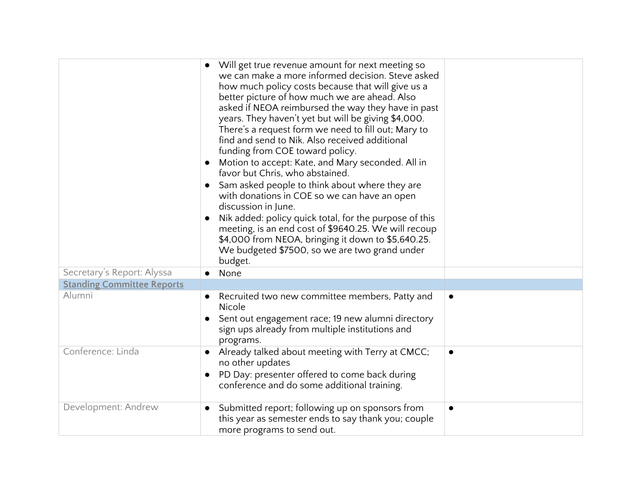|                                   | Will get true revenue amount for next meeting so<br>we can make a more informed decision. Steve asked<br>how much policy costs because that will give us a<br>better picture of how much we are ahead. Also<br>asked if NEOA reimbursed the way they have in past<br>years. They haven't yet but will be giving \$4,000.<br>There's a request form we need to fill out; Mary to<br>find and send to Nik. Also received additional<br>funding from COE toward policy.<br>Motion to accept: Kate, and Mary seconded. All in<br>favor but Chris, who abstained.<br>Sam asked people to think about where they are<br>with donations in COE so we can have an open<br>discussion in June.<br>Nik added: policy quick total, for the purpose of this<br>meeting, is an end cost of \$9640.25. We will recoup<br>\$4,000 from NEOA, bringing it down to \$5,640.25.<br>We budgeted \$7500, so we are two grand under<br>budget. |           |
|-----------------------------------|---------------------------------------------------------------------------------------------------------------------------------------------------------------------------------------------------------------------------------------------------------------------------------------------------------------------------------------------------------------------------------------------------------------------------------------------------------------------------------------------------------------------------------------------------------------------------------------------------------------------------------------------------------------------------------------------------------------------------------------------------------------------------------------------------------------------------------------------------------------------------------------------------------------------------|-----------|
| Secretary's Report: Alyssa        | None                                                                                                                                                                                                                                                                                                                                                                                                                                                                                                                                                                                                                                                                                                                                                                                                                                                                                                                      |           |
| <b>Standing Committee Reports</b> |                                                                                                                                                                                                                                                                                                                                                                                                                                                                                                                                                                                                                                                                                                                                                                                                                                                                                                                           |           |
| Alumni                            | Recruited two new committee members, Patty and<br>Nicole<br>Sent out engagement race; 19 new alumni directory<br>sign ups already from multiple institutions and<br>programs.                                                                                                                                                                                                                                                                                                                                                                                                                                                                                                                                                                                                                                                                                                                                             | $\bullet$ |
| Conference: Linda                 | Already talked about meeting with Terry at CMCC;<br>no other updates<br>PD Day: presenter offered to come back during<br>$\bullet$<br>conference and do some additional training.                                                                                                                                                                                                                                                                                                                                                                                                                                                                                                                                                                                                                                                                                                                                         |           |
| Development: Andrew               | Submitted report; following up on sponsors from<br>this year as semester ends to say thank you; couple<br>more programs to send out.                                                                                                                                                                                                                                                                                                                                                                                                                                                                                                                                                                                                                                                                                                                                                                                      | $\bullet$ |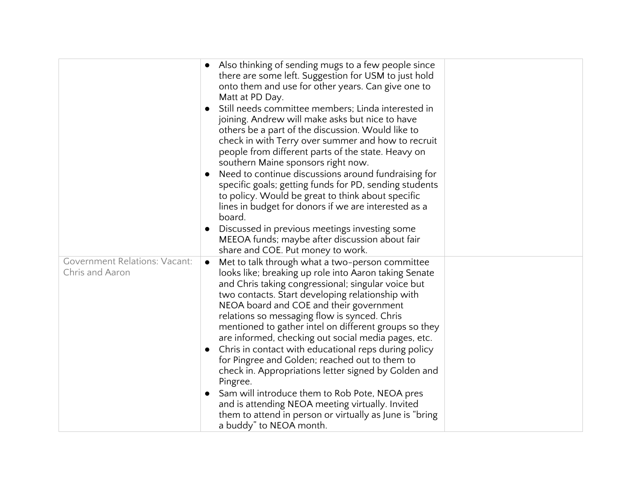|                                                         |           | Also thinking of sending mugs to a few people since<br>there are some left. Suggestion for USM to just hold<br>onto them and use for other years. Can give one to<br>Matt at PD Day.<br>Still needs committee members; Linda interested in<br>joining. Andrew will make asks but nice to have<br>others be a part of the discussion. Would like to<br>check in with Terry over summer and how to recruit<br>people from different parts of the state. Heavy on<br>southern Maine sponsors right now.                                                                                                                                                          |  |
|---------------------------------------------------------|-----------|---------------------------------------------------------------------------------------------------------------------------------------------------------------------------------------------------------------------------------------------------------------------------------------------------------------------------------------------------------------------------------------------------------------------------------------------------------------------------------------------------------------------------------------------------------------------------------------------------------------------------------------------------------------|--|
|                                                         |           | Need to continue discussions around fundraising for<br>specific goals; getting funds for PD, sending students<br>to policy. Would be great to think about specific<br>lines in budget for donors if we are interested as a<br>board.                                                                                                                                                                                                                                                                                                                                                                                                                          |  |
|                                                         |           | Discussed in previous meetings investing some<br>MEEOA funds; maybe after discussion about fair<br>share and COE. Put money to work.                                                                                                                                                                                                                                                                                                                                                                                                                                                                                                                          |  |
| <b>Government Relations: Vacant:</b><br>Chris and Aaron | $\bullet$ | Met to talk through what a two-person committee<br>looks like; breaking up role into Aaron taking Senate<br>and Chris taking congressional; singular voice but<br>two contacts. Start developing relationship with<br>NEOA board and COE and their government<br>relations so messaging flow is synced. Chris<br>mentioned to gather intel on different groups so they<br>are informed, checking out social media pages, etc.<br>Chris in contact with educational reps during policy<br>for Pingree and Golden; reached out to them to<br>check in. Appropriations letter signed by Golden and<br>Pingree.<br>Sam will introduce them to Rob Pote, NEOA pres |  |
|                                                         |           | and is attending NEOA meeting virtually. Invited<br>them to attend in person or virtually as June is "bring"<br>a buddy" to NEOA month.                                                                                                                                                                                                                                                                                                                                                                                                                                                                                                                       |  |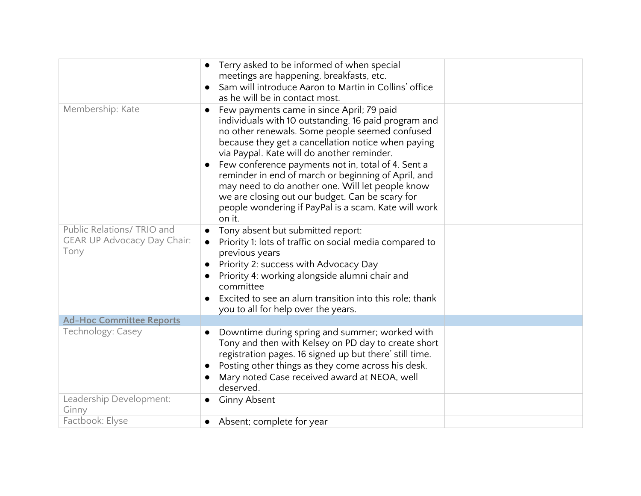|                                                                          | Terry asked to be informed of when special<br>meetings are happening, breakfasts, etc.<br>Sam will introduce Aaron to Martin in Collins' office<br>as he will be in contact most.                                                                                                                                                                                                                                                                                                                                                             |  |
|--------------------------------------------------------------------------|-----------------------------------------------------------------------------------------------------------------------------------------------------------------------------------------------------------------------------------------------------------------------------------------------------------------------------------------------------------------------------------------------------------------------------------------------------------------------------------------------------------------------------------------------|--|
| Membership: Kate                                                         | Few payments came in since April; 79 paid<br>individuals with 10 outstanding. 16 paid program and<br>no other renewals. Some people seemed confused<br>because they get a cancellation notice when paying<br>via Paypal. Kate will do another reminder.<br>Few conference payments not in, total of 4. Sent a<br>reminder in end of march or beginning of April, and<br>may need to do another one. Will let people know<br>we are closing out our budget. Can be scary for<br>people wondering if PayPal is a scam. Kate will work<br>on it. |  |
| Public Relations/ TRIO and<br><b>GEAR UP Advocacy Day Chair:</b><br>Tony | Tony absent but submitted report:<br>Priority 1: lots of traffic on social media compared to<br>$\bullet$<br>previous years<br>Priority 2: success with Advocacy Day<br>Priority 4: working alongside alumni chair and<br>committee<br>Excited to see an alum transition into this role; thank<br>you to all for help over the years.                                                                                                                                                                                                         |  |
| <b>Ad-Hoc Committee Reports</b>                                          |                                                                                                                                                                                                                                                                                                                                                                                                                                                                                                                                               |  |
| Technology: Casey                                                        | Downtime during spring and summer; worked with<br>$\bullet$<br>Tony and then with Kelsey on PD day to create short<br>registration pages. 16 signed up but there' still time.<br>Posting other things as they come across his desk.<br>Mary noted Case received award at NEOA, well<br>deserved.                                                                                                                                                                                                                                              |  |
| Leadership Development:<br>Ginny                                         | <b>Ginny Absent</b>                                                                                                                                                                                                                                                                                                                                                                                                                                                                                                                           |  |
| Factbook: Elyse                                                          | Absent; complete for year                                                                                                                                                                                                                                                                                                                                                                                                                                                                                                                     |  |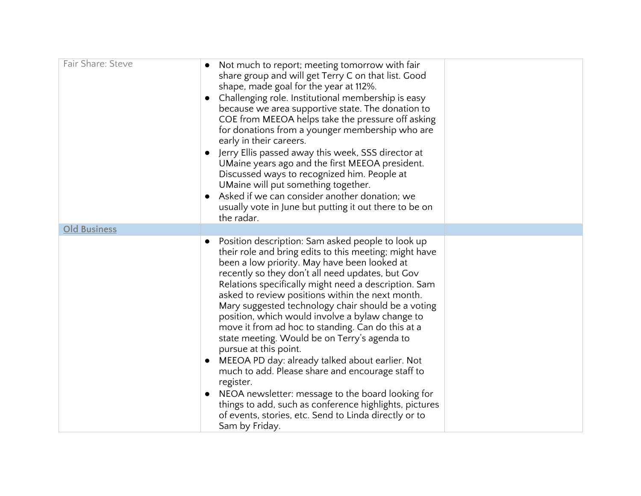| Fair Share: Steve   | Not much to report; meeting tomorrow with fair<br>share group and will get Terry C on that list. Good<br>shape, made goal for the year at 112%.<br>Challenging role. Institutional membership is easy<br>because we area supportive state. The donation to<br>COE from MEEOA helps take the pressure off asking<br>for donations from a younger membership who are<br>early in their careers.<br>Jerry Ellis passed away this week, SSS director at<br>UMaine years ago and the first MEEOA president.<br>Discussed ways to recognized him. People at<br>UMaine will put something together.<br>Asked if we can consider another donation; we<br>usually vote in June but putting it out there to be on<br>the radar.                                                                                                                                                                         |  |
|---------------------|-----------------------------------------------------------------------------------------------------------------------------------------------------------------------------------------------------------------------------------------------------------------------------------------------------------------------------------------------------------------------------------------------------------------------------------------------------------------------------------------------------------------------------------------------------------------------------------------------------------------------------------------------------------------------------------------------------------------------------------------------------------------------------------------------------------------------------------------------------------------------------------------------|--|
| <b>Old Business</b> |                                                                                                                                                                                                                                                                                                                                                                                                                                                                                                                                                                                                                                                                                                                                                                                                                                                                                               |  |
|                     | Position description: Sam asked people to look up<br>$\bullet$<br>their role and bring edits to this meeting; might have<br>been a low priority. May have been looked at<br>recently so they don't all need updates, but Gov<br>Relations specifically might need a description. Sam<br>asked to review positions within the next month.<br>Mary suggested technology chair should be a voting<br>position, which would involve a bylaw change to<br>move it from ad hoc to standing. Can do this at a<br>state meeting. Would be on Terry's agenda to<br>pursue at this point.<br>MEEOA PD day: already talked about earlier. Not<br>much to add. Please share and encourage staff to<br>register.<br>NEOA newsletter: message to the board looking for<br>things to add, such as conference highlights, pictures<br>of events, stories, etc. Send to Linda directly or to<br>Sam by Friday. |  |